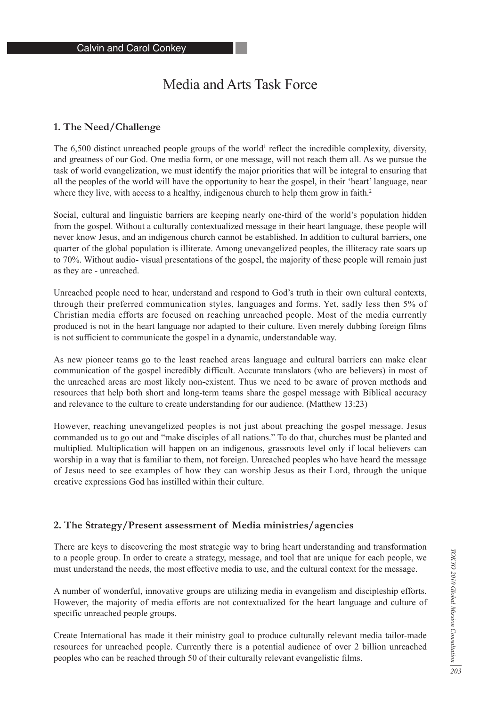# Media and Arts Task Force

# **1. The Need/Challenge**

The 6,500 distinct unreached people groups of the world<sup>1</sup> reflect the incredible complexity, diversity, and greatness of our God. One media form, or one message, will not reach them all. As we pursue the task of world evangelization, we must identify the major priorities that will be integral to ensuring that all the peoples of the world will have the opportunity to hear the gospel, in their 'heart' language, near where they live, with access to a healthy, indigenous church to help them grow in faith.<sup>2</sup>

Social, cultural and linguistic barriers are keeping nearly one-third of the world's population hidden from the gospel. Without a culturally contextualized message in their heart language, these people will never know Jesus, and an indigenous church cannot be established. In addition to cultural barriers, one quarter of the global population is illiterate. Among unevangelized peoples, the illiteracy rate soars up to 70%. Without audio- visual presentations of the gospel, the majority of these people will remain just as they are - unreached.

Unreached people need to hear, understand and respond to God's truth in their own cultural contexts, through their preferred communication styles, languages and forms. Yet, sadly less then 5% of Christian media efforts are focused on reaching unreached people. Most of the media currently produced is not in the heart language nor adapted to their culture. Even merely dubbing foreign films is not sufficient to communicate the gospel in a dynamic, understandable way.

As new pioneer teams go to the least reached areas language and cultural barriers can make clear communication of the gospel incredibly difficult. Accurate translators (who are believers) in most of the unreached areas are most likely non-existent. Thus we need to be aware of proven methods and resources that help both short and long-term teams share the gospel message with Biblical accuracy and relevance to the culture to create understanding for our audience. (Matthew 13:23)

However, reaching unevangelized peoples is not just about preaching the gospel message. Jesus commanded us to go out and "make disciples of all nations." To do that, churches must be planted and multiplied. Multiplication will happen on an indigenous, grassroots level only if local believers can worship in a way that is familiar to them, not foreign. Unreached peoples who have heard the message of Jesus need to see examples of how they can worship Jesus as their Lord, through the unique creative expressions God has instilled within their culture.

### **2. The Strategy/Present assessment of Media ministries/agencies**

There are keys to discovering the most strategic way to bring heart understanding and transformation to a people group. In order to create a strategy, message, and tool that are unique for each people, we must understand the needs, the most effective media to use, and the cultural context for the message.

A number of wonderful, innovative groups are utilizing media in evangelism and discipleship efforts. However, the majority of media efforts are not contextualized for the heart language and culture of specific unreached people groups.

Create International has made it their ministry goal to produce culturally relevant media tailor-made resources for unreached people. Currently there is a potential audience of over 2 billion unreached peoples who can be reached through 50 of their culturally relevant evangelistic films.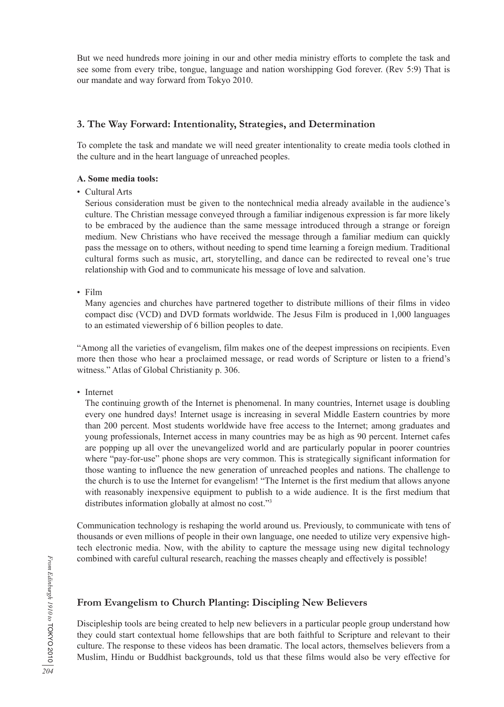But we need hundreds more joining in our and other media ministry efforts to complete the task and see some from every tribe, tongue, language and nation worshipping God forever. (Rev 5:9) That is our mandate and way forward from Tokyo 2010.

# **3. The Way Forward: Intentionality, Strategies, and Determination**

To complete the task and mandate we will need greater intentionality to create media tools clothed in the culture and in the heart language of unreached peoples.

#### **A. Some media tools:**

• Cultural Arts

 Serious consideration must be given to the nontechnical media already available in the audience's culture. The Christian message conveyed through a familiar indigenous expression is far more likely to be embraced by the audience than the same message introduced through a strange or foreign medium. New Christians who have received the message through a familiar medium can quickly pass the message on to others, without needing to spend time learning a foreign medium. Traditional cultural forms such as music, art, storytelling, and dance can be redirected to reveal one's true relationship with God and to communicate his message of love and salvation.

• Film

 Many agencies and churches have partnered together to distribute millions of their films in video compact disc (VCD) and DVD formats worldwide. The Jesus Film is produced in 1,000 languages to an estimated viewership of 6 billion peoples to date.

"Among all the varieties of evangelism, film makes one of the deepest impressions on recipients. Even more then those who hear a proclaimed message, or read words of Scripture or listen to a friend's witness." Atlas of Global Christianity p. 306.

• Internet

 The continuing growth of the Internet is phenomenal. In many countries, Internet usage is doubling every one hundred days! Internet usage is increasing in several Middle Eastern countries by more than 200 percent. Most students worldwide have free access to the Internet; among graduates and young professionals, Internet access in many countries may be as high as 90 percent. Internet cafes are popping up all over the unevangelized world and are particularly popular in poorer countries where "pay-for-use" phone shops are very common. This is strategically significant information for those wanting to influence the new generation of unreached peoples and nations. The challenge to the church is to use the Internet for evangelism! "The Internet is the first medium that allows anyone with reasonably inexpensive equipment to publish to a wide audience. It is the first medium that distributes information globally at almost no cost."<sup>3</sup>

Communication technology is reshaping the world around us. Previously, to communicate with tens of thousands or even millions of people in their own language, one needed to utilize very expensive hightech electronic media. Now, with the ability to capture the message using new digital technology combined with careful cultural research, reaching the masses cheaply and effectively is possible!

# *204From Edinburgh 1910 to* TOKYO 2010 From Edinburgh 1910 to TOKYO 2010

Discipleship tools are being created to help new believers in a particular people group understand how they could start contextual home fellowships that are both faithful to Scripture and relevant to their culture. The response to these videos has been dramatic. The local actors, themselves believers from a Muslim, Hindu or Buddhist backgrounds, told us that these films would also be very effective for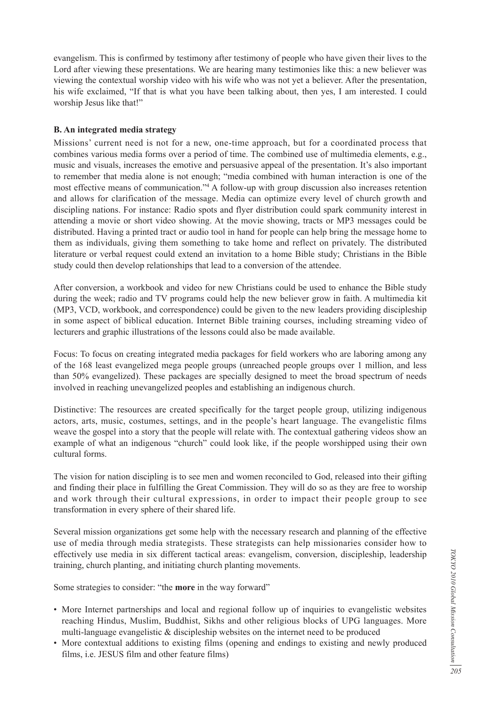evangelism. This is confirmed by testimony after testimony of people who have given their lives to the Lord after viewing these presentations. We are hearing many testimonies like this: a new believer was viewing the contextual worship video with his wife who was not yet a believer. After the presentation, his wife exclaimed, "If that is what you have been talking about, then yes, I am interested. I could worship Jesus like that!"

#### **B. An integrated media strategy**

Missions' current need is not for a new, one-time approach, but for a coordinated process that combines various media forms over a period of time. The combined use of multimedia elements, e.g., music and visuals, increases the emotive and persuasive appeal of the presentation. It's also important to remember that media alone is not enough; "media combined with human interaction is one of the most effective means of communication."4 A follow-up with group discussion also increases retention and allows for clarification of the message. Media can optimize every level of church growth and discipling nations. For instance: Radio spots and flyer distribution could spark community interest in attending a movie or short video showing. At the movie showing, tracts or MP3 messages could be distributed. Having a printed tract or audio tool in hand for people can help bring the message home to them as individuals, giving them something to take home and reflect on privately. The distributed literature or verbal request could extend an invitation to a home Bible study; Christians in the Bible study could then develop relationships that lead to a conversion of the attendee.

After conversion, a workbook and video for new Christians could be used to enhance the Bible study during the week; radio and TV programs could help the new believer grow in faith. A multimedia kit (MP3, VCD, workbook, and correspondence) could be given to the new leaders providing discipleship in some aspect of biblical education. Internet Bible training courses, including streaming video of lecturers and graphic illustrations of the lessons could also be made available.

Focus: To focus on creating integrated media packages for field workers who are laboring among any of the 168 least evangelized mega people groups (unreached people groups over 1 million, and less than 50% evangelized). These packages are specially designed to meet the broad spectrum of needs involved in reaching unevangelized peoples and establishing an indigenous church.

Distinctive: The resources are created specifically for the target people group, utilizing indigenous actors, arts, music, costumes, settings, and in the people's heart language. The evangelistic films weave the gospel into a story that the people will relate with. The contextual gathering videos show an example of what an indigenous "church" could look like, if the people worshipped using their own cultural forms.

The vision for nation discipling is to see men and women reconciled to God, released into their gifting and finding their place in fulfilling the Great Commission. They will do so as they are free to worship and work through their cultural expressions, in order to impact their people group to see transformation in every sphere of their shared life.

Several mission organizations get some help with the necessary research and planning of the effective use of media through media strategists. These strategists can help missionaries consider how to effectively use media in six different tactical areas: evangelism, conversion, discipleship, leadership training, church planting, and initiating church planting movements.

Some strategies to consider: "the **more** in the way forward"

- More Internet partnerships and local and regional follow up of inquiries to evangelistic websites reaching Hindus, Muslim, Buddhist, Sikhs and other religious blocks of UPG languages. More multi-language evangelistic  $\&$  discipleship websites on the internet need to be produced
- More contextual additions to existing films (opening and endings to existing and newly produced films, i.e. JESUS film and other feature films)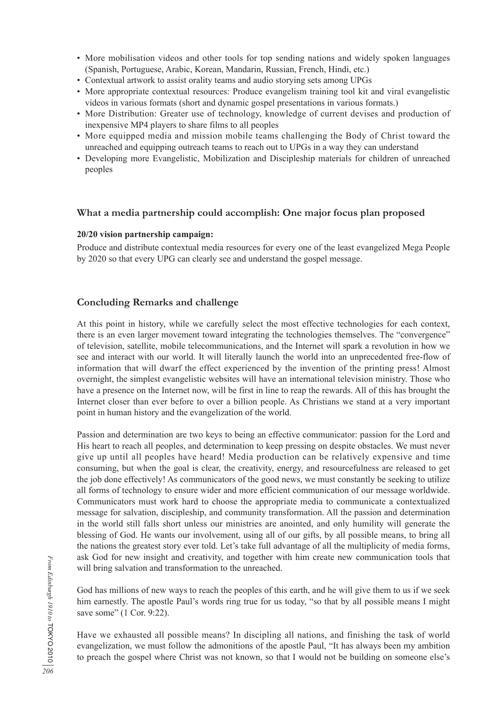- More mobilisation videos and other tools for top sending nations and widely spoken languages (Spanish, Portuguese, Arabic, Korean, Mandarin, Russian, French, Hindi, etc.)
- Contextual artwork to assist orality teams and audio storying sets among UPGs
- More appropriate contextual resources: Produce evangelism training tool kit and viral evangelistic videos in various formats (short and dynamic gospel presentations in various formats.)
- More Distribution: Greater use of technology, knowledge of current devises and production of inexpensive MP4 players to share films to all peoples
- More equipped media and mission mobile teams challenging the Body of Christ toward the unreached and equipping outreach teams to reach out to UPGs in a way they can understand
- Developing more Evangelistic, Mobilization and Discipleship materials for children of unreached peoples

# **What a media partnership could accomplish: One major focus plan proposed**

#### **20/20 vision partnership campaign:**

Produce and distribute contextual media resources for every one of the least evangelized Mega People by 2020 so that every UPG can clearly see and understand the gospel message.

# **Concluding Remarks and challenge**

At this point in history, while we carefully select the most effective technologies for each context, there is an even larger movement toward integrating the technologies themselves. The "convergence" of television, satellite, mobile telecommunications, and the Internet will spark a revolution in how we see and interact with our world. It will literally launch the world into an unprecedented free-flow of information that will dwarf the effect experienced by the invention of the printing press! Almost overnight, the simplest evangelistic websites will have an international television ministry. Those who have a presence on the Internet now, will be first in line to reap the rewards. All of this has brought the Internet closer than ever before to over a billion people. As Christians we stand at a very important point in human history and the evangelization of the world.

Passion and determination are two keys to being an effective communicator: passion for the Lord and His heart to reach all peoples, and determination to keep pressing on despite obstacles. We must never give up until all peoples have heard! Media production can be relatively expensive and time consuming, but when the goal is clear, the creativity, energy, and resourcefulness are released to get the job done effectively! As communicators of the good news, we must constantly be seeking to utilize all forms of technology to ensure wider and more efficient communication of our message worldwide. Communicators must work hard to choose the appropriate media to communicate a contextualized message for salvation, discipleship, and community transformation. All the passion and determination in the world still falls short unless our ministries are anointed, and only humility will generate the blessing of God. He wants our involvement, using all of our gifts, by all possible means, to bring all the nations the greatest story ever told. Let's take full advantage of all the multiplicity of media forms, ask God for new insight and creativity, and together with him create new communication tools that will bring salvation and transformation to the unreached.

God has millions of new ways to reach the peoples of this earth, and he will give them to us if we seek him earnestly. The apostle Paul's words ring true for us today, "so that by all possible means I might save some" (1 Cor. 9:22).

Have we exhausted all possible means? In discipling all nations, and finishing the task of world evangelization, we must follow the admonitions of the apostle Paul, "It has always been my ambition to preach the gospel where Christ was not known, so that I would not be building on someone else's